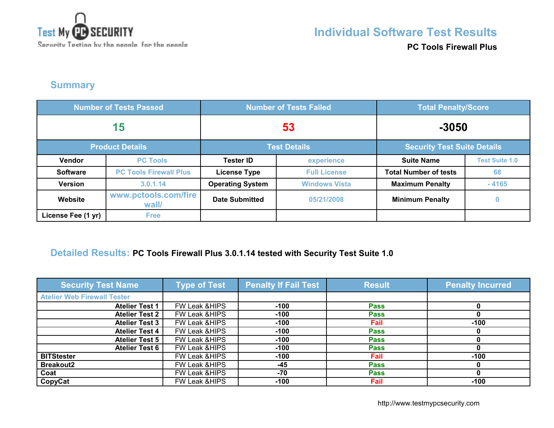

### **Individual Software Test Results**

**PC Tools Firewall Plus**

### **Summary**

| <b>Number of Tests Passed</b> |                               | <b>Number of Tests Failed</b> |                      | <b>Total Penalty/Score</b>         |                       |
|-------------------------------|-------------------------------|-------------------------------|----------------------|------------------------------------|-----------------------|
| 15                            |                               | 53                            |                      | $-3050$                            |                       |
| <b>Product Details</b>        |                               | <b>Test Details</b>           |                      | <b>Security Test Suite Details</b> |                       |
| <b>Vendor</b>                 | <b>PC Tools</b>               | <b>Tester ID</b>              | experience           | <b>Suite Name</b>                  | <b>Test Suite 1.0</b> |
| <b>Software</b>               | <b>PC Tools Firewall Plus</b> | <b>License Type</b>           | <b>Full License</b>  | <b>Total Number of tests</b>       | 68                    |
| <b>Version</b>                | 3.0.1.14                      | <b>Operating System</b>       | <b>Windows Vista</b> | <b>Maximum Penalty</b>             | $-4165$               |
| Website                       | www.pctools.com/fire<br>wall/ | <b>Date Submitted</b>         | 05/21/2008           | <b>Minimum Penalty</b>             | 0                     |
| License Fee (1 yr)            | <b>Free</b>                   |                               |                      |                                    |                       |

#### **Detailed Results: PC Tools Firewall Plus 3.0.1.14 tested with Security Test Suite 1.0**

| <b>Security Test Name</b>          | <b>Type of Test</b>      | <b>Penalty If Fail Test</b> | <b>Result</b> | <b>Penalty Incurred</b> |
|------------------------------------|--------------------------|-----------------------------|---------------|-------------------------|
| <b>Atelier Web Firewall Tester</b> |                          |                             |               |                         |
| <b>Atelier Test 1</b>              | FW Leak & HIPS           | $-100$                      | <b>Pass</b>   |                         |
| <b>Atelier Test 2</b>              | FW Leak &HIPS            | $-100$                      | <b>Pass</b>   |                         |
| <b>Atelier Test 3</b>              | FW Leak & HIPS           | $-100$                      | Fail          | $-100$                  |
| <b>Atelier Test 4</b>              | FW Leak & HIPS           | $-100$                      | <b>Pass</b>   |                         |
| <b>Atelier Test 5</b>              | FW Leak & HIPS           | $-100$                      | <b>Pass</b>   |                         |
| <b>Atelier Test 6</b>              | FW Leak & HIPS           | $-100$                      | <b>Pass</b>   |                         |
| <b>BITStester</b>                  | FW Leak & HIPS           | $-100$                      | Fail          | $-100$                  |
| <b>Breakout2</b>                   | <b>FW Leak &amp;HIPS</b> | $-45$                       | <b>Pass</b>   |                         |
| Coat                               | <b>FW Leak &amp;HIPS</b> | -70                         | <b>Pass</b>   |                         |
| CopyCat                            | FW Leak & HIPS           | $-100$                      | Fail          | $-100$                  |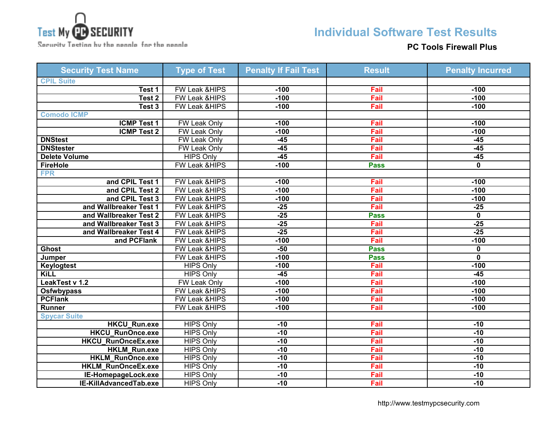

Security Tection by the neanle for the neanle

# **Individual Software Test Results**

### **PC Tools Firewall Plus**

| <b>Security Test Name</b> | <b>Type of Test</b>      | <b>Penalty If Fail Test</b> | <b>Result</b> | <b>Penalty Incurred</b> |
|---------------------------|--------------------------|-----------------------------|---------------|-------------------------|
| <b>CPIL Suite</b>         |                          |                             |               |                         |
| Test 1                    | <b>FW Leak &amp;HIPS</b> | $-100$                      | Fail          | $-100$                  |
| Test <sub>2</sub>         | <b>FW Leak &amp;HIPS</b> | $-100$                      | Fail          | $-100$                  |
| Test 3                    | FW Leak &HIPS            | $-100$                      | Fail          | $-100$                  |
| <b>Comodo ICMP</b>        |                          |                             |               |                         |
| <b>ICMP Test 1</b>        | <b>FW Leak Only</b>      | $-100$                      | Fail          | $-100$                  |
| <b>ICMP Test 2</b>        | <b>FW Leak Only</b>      | $-100$                      | Fail          | $-100$                  |
| <b>DNStest</b>            | <b>FW Leak Only</b>      | $-45$                       | Fail          | $-45$                   |
| <b>DNStester</b>          | <b>FW Leak Only</b>      | $-45$                       | Fail          | $-45$                   |
| <b>Delete Volume</b>      | <b>HIPS Only</b>         | $-45$                       | Fail          | $-45$                   |
| <b>FireHole</b>           | FW Leak &HIPS            | $-100$                      | <b>Pass</b>   | 0                       |
| <b>FPR</b>                |                          |                             |               |                         |
| and CPIL Test 1           | FW Leak &HIPS            | $-100$                      | Fail          | $-100$                  |
| and CPIL Test 2           | FW Leak &HIPS            | $-100$                      | Fail          | $-100$                  |
| and CPIL Test 3           | FW Leak &HIPS            | $-100$                      | Fail          | $-100$                  |
| and Wallbreaker Test 1    | <b>FW Leak &amp;HIPS</b> | $-25$                       | Fail          | $-25$                   |
| and Wallbreaker Test 2    | FW Leak &HIPS            | $-25$                       | <b>Pass</b>   | $\overline{\mathbf{0}}$ |
| and Wallbreaker Test 3    | FW Leak &HIPS            | $-25$                       | Fail          | $-25$                   |
| and Wallbreaker Test 4    | <b>FW Leak &amp;HIPS</b> | $-25$                       | Fail          | $-25$                   |
| and PCFlank               | FW Leak &HIPS            | $-100$                      | Fail          | $-100$                  |
| <b>Ghost</b>              | FW Leak &HIPS            | $-50$                       | <b>Pass</b>   | $\mathbf 0$             |
| Jumper                    | <b>FW Leak &amp;HIPS</b> | $-100$                      | <b>Pass</b>   | $\overline{\mathbf{0}}$ |
| <b>Keylogtest</b>         | <b>HIPS Only</b>         | $-100$                      | Fail          | $-100$                  |
| <b>KiLL</b>               | <b>HIPS Only</b>         | $-45$                       | Fail          | $-45$                   |
| LeakTest v 1.2            | FW Leak Only             | $-100$                      | Fail          | $-100$                  |
| <b>Osfwbypass</b>         | FW Leak &HIPS            | $-100$                      | Fail          | $-100$                  |
| <b>PCFlank</b>            | <b>FW Leak &amp;HIPS</b> | $-100$                      | Fail          | $-100$                  |
| <b>Runner</b>             | FW Leak &HIPS            | $-100$                      | Fail          | $-100$                  |
| <b>Spycar Suite</b>       |                          |                             |               |                         |
| <b>HKCU Run.exe</b>       | <b>HIPS Only</b>         | $-10$                       | Fail          | $-10$                   |
| <b>HKCU RunOnce.exe</b>   | <b>HIPS Only</b>         | $-10$                       | Fail          | $-10$                   |
| HKCU_RunOnceEx.exe        | <b>HIPS Only</b>         | $-10$                       | Fail          | $-10$                   |
| HKLM_Run.exe              | <b>HIPS Only</b>         | $-10$                       | Fail          | $-10$                   |
| <b>HKLM RunOnce.exe</b>   | <b>HIPS Only</b>         | $-10$                       | Fail          | $-10$                   |
| <b>HKLM RunOnceEx.exe</b> | <b>HIPS Only</b>         | $-10$                       | Fail          | $-10$                   |
| IE-HomepageLock.exe       | <b>HIPS Only</b>         | $-10$                       | Fail          | $-10$                   |
| IE-KillAdvancedTab.exe    | <b>HIPS Only</b>         | $-10$                       | Fail          | $-10$                   |